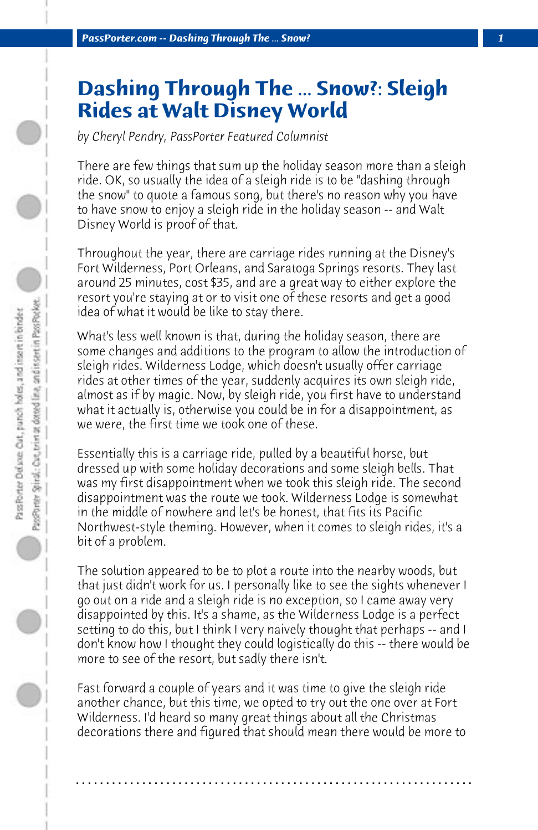## **Dashing Through The ... Snow?: Sleigh Rides at Walt Disney World**

*by Cheryl Pendry, PassPorter Featured Columnist*

There are few things that sum up the holiday season more than a sleigh ride. OK, so usually the idea of a sleigh ride is to be "dashing through the snow" to quote a famous song, but there's no reason why you have to have snow to enjoy a sleigh ride in the holiday season -- and Walt Disney World is proof of that.

Throughout the year, there are carriage rides running at the Disney's Fort Wilderness, Port Orleans, and Saratoga Springs resorts. They last around 25 minutes, cost \$35, and are a great way to either explore the resort you're staying at or to visit one of these resorts and get a good idea of what it would be like to stay there.

What's less well known is that, during the holiday season, there are some changes and additions to the program to allow the introduction of sleigh rides. Wilderness Lodge, which doesn't usually offer carriage rides at other times of the year, suddenly acquires its own sleigh ride, almost as if by magic. Now, by sleigh ride, you first have to understand what it actually is, otherwise you could be in for a disappointment, as we were, the first time we took one of these.

Essentially this is a carriage ride, pulled by a beautiful horse, but dressed up with some holiday decorations and some sleigh bells. That was my first disappointment when we took this sleigh ride. The second disappointment was the route we took. Wilderness Lodge is somewhat in the middle of nowhere and let's be honest, that fits its Pacific Northwest-style theming. However, when it comes to sleigh rides, it's a bit of a problem.

The solution appeared to be to plot a route into the nearby woods, but that just didn't work for us. I personally like to see the sights whenever I go out on a ride and a sleigh ride is no exception, so I came away very disappointed by this. It's a shame, as the Wilderness Lodge is a perfect setting to do this, but I think I very naively thought that perhaps -- and I don't know how I thought they could logistically do this -- there would be more to see of the resort, but sadly there isn't.

Fast forward a couple of years and it was time to give the sleigh ride another chance, but this time, we opted to try out the one over at Fort Wilderness. I'd heard so many great things about all the Christmas decorations there and figured that should mean there would be more to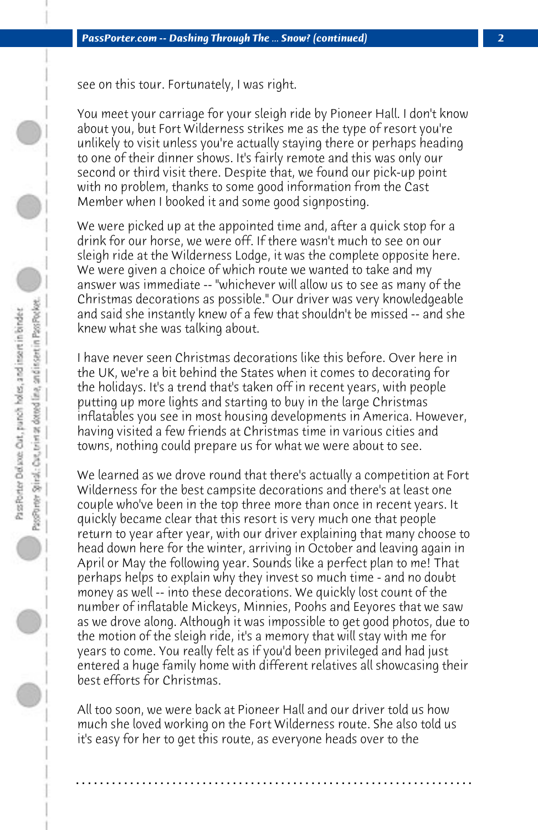see on this tour. Fortunately, I was right.

You meet your carriage for your sleigh ride by Pioneer Hall. I don't know about you, but Fort Wilderness strikes me as the type of resort you're unlikely to visit unless you're actually staying there or perhaps heading to one of their dinner shows. It's fairly remote and this was only our second or third visit there. Despite that, we found our pick-up point with no problem, thanks to some good information from the Cast Member when I booked it and some good signposting.

We were picked up at the appointed time and, after a quick stop for a drink for our horse, we were off. If there wasn't much to see on our sleigh ride at the Wilderness Lodge, it was the complete opposite here. We were given a choice of which route we wanted to take and my answer was immediate -- "whichever will allow us to see as many of the Christmas decorations as possible." Our driver was very knowledgeable and said she instantly knew of a few that shouldn't be missed -- and she knew what she was talking about.

I have never seen Christmas decorations like this before. Over here in the UK, we're a bit behind the States when it comes to decorating for the holidays. It's a trend that's taken off in recent years, with people putting up more lights and starting to buy in the large Christmas inflatables you see in most housing developments in America. However, having visited a few friends at Christmas time in various cities and towns, nothing could prepare us for what we were about to see.

We learned as we drove round that there's actually a competition at Fort Wilderness for the best campsite decorations and there's at least one couple who've been in the top three more than once in recent years. It quickly became clear that this resort is very much one that people return to year after year, with our driver explaining that many choose to head down here for the winter, arriving in October and leaving again in April or May the following year. Sounds like a perfect plan to me! That perhaps helps to explain why they invest so much time - and no doubt money as well -- into these decorations. We quickly lost count of the number of inflatable Mickeys, Minnies, Poohs and Eeyores that we saw as we drove along. Although it was impossible to get good photos, due to the motion of the sleigh ride, it's a memory that will stay with me for years to come. You really felt as if you'd been privileged and had just entered a huge family home with different relatives all showcasing their best efforts for Christmas.

All too soon, we were back at Pioneer Hall and our driver told us how much she loved working on the Fort Wilderness route. She also told us it's easy for her to get this route, as everyone heads over to the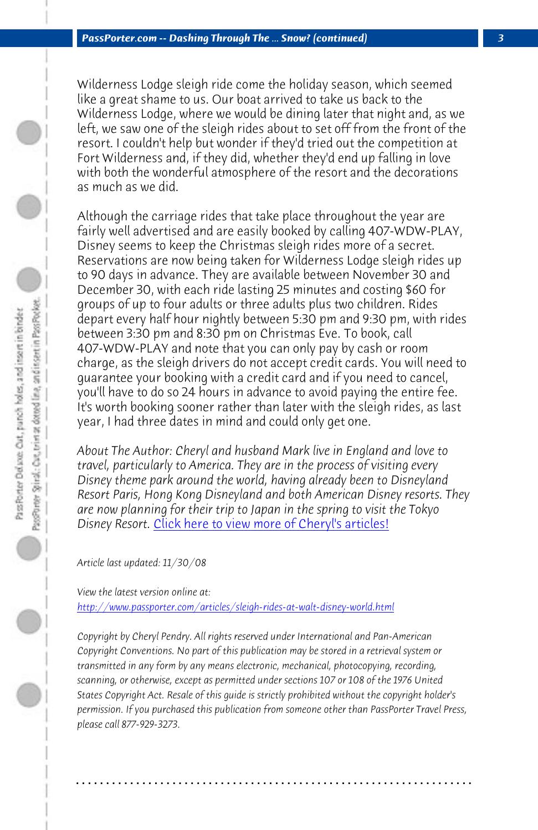*PassPorter.com -- Dashing Through The ... Snow? (continued) 3*

Wilderness Lodge sleigh ride come the holiday season, which seemed like a great shame to us. Our boat arrived to take us back to the Wilderness Lodge, where we would be dining later that night and, as we left, we saw one of the sleigh rides about to set off from the front of the resort. I couldn't help but wonder if they'd tried out the competition at Fort Wilderness and, if they did, whether they'd end up falling in love with both the wonderful atmosphere of the resort and the decorations as much as we did.

Although the carriage rides that take place throughout the year are fairly well advertised and are easily booked by calling 407-WDW-PLAY, Disney seems to keep the Christmas sleigh rides more of a secret. Reservations are now being taken for Wilderness Lodge sleigh rides up to 90 days in [advance. They are available between Novem](http://www.passporter.com/articles/cheryl-pendry-featured-columnist.asp)ber 30 and December 30, with each ride lasting 25 minutes and costing \$60 for groups of up to four adults or three adults plus two children. Rides depart every half hour nightly between 5:30 pm and 9:30 pm, with rides between 3:30 pm and 8:30 pm on Christmas Eve. To book, call 407-WDW-PLAY and note that you can only pay by cash or room [charge, as the sleigh drivers do not accept credit cards. Yo](http://www.passporter.com/articles/sleigh-rides-at-walt-disney-world.php)u will need to guarantee your booking with a credit card and if you need to cancel, you'll have to do so 24 hours in advance to avoid paying the entire fee. It's worth booking sooner rather than later with the sleigh rides, as last year, I had three dates in mind and could only get one.

*About The Author: Cheryl and husband Mark live in England and love to travel, particularly to America. They are in the process of visiting every Disney theme park around the world, having already been to Disneyland Resort Paris, Hong Kong Disneyland and both American Disney resorts. They are now planning for their trip to Japan in the spring to visit the Tokyo Disney Resort.* Click here to view more of Cheryl's articles!

*Article last updated: 11/30/08*

*View the latest version online at: http://www.passporter.com/articles/sleigh-rides-at-walt-disney-world.html*

*Copyright by Cheryl Pendry. All rights reserved under International and Pan-American Copyright Conventions. No part of this publication may be stored in a retrieval system or transmitted in any form by any means electronic, mechanical, photocopying, recording, scanning, or otherwise, except as permitted under sections 107 or 108 of the 1976 United States Copyright Act. Resale of this guide is strictly prohibited without the copyright holder's permission. If you purchased this publication from someone other than PassPorter Travel Press, please call 877-929-3273.*